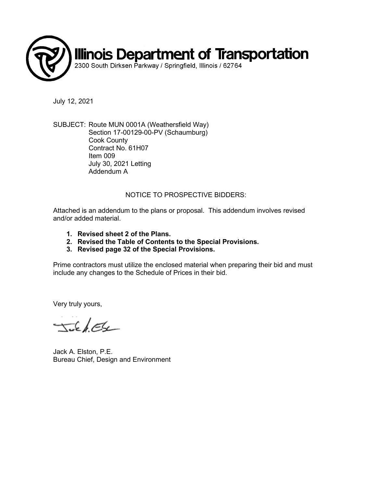

July 12, 2021

SUBJECT: Route MUN 0001A (Weathersfield Way) Section 17-00129-00-PV (Schaumburg) Cook County Contract No. 61H07 Item 009 July 30, 2021 Letting Addendum A

## NOTICE TO PROSPECTIVE BIDDERS:

Attached is an addendum to the plans or proposal. This addendum involves revised and/or added material.

- **1. Revised sheet 2 of the Plans.**
- **2. Revised the Table of Contents to the Special Provisions.**
- **3. Revised page 32 of the Special Provisions.**

Prime contractors must utilize the enclosed material when preparing their bid and must include any changes to the Schedule of Prices in their bid.

Very truly yours,

TickEle

Jack A. Elston, P.E. Bureau Chief, Design and Environment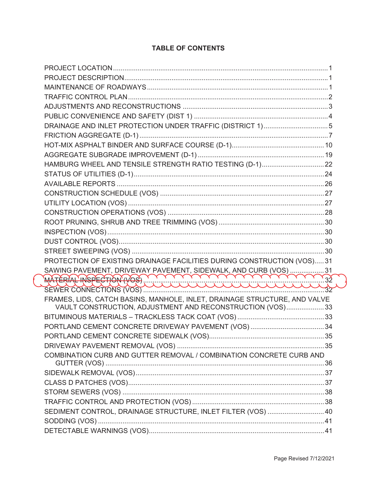| DRAINAGE AND INLET PROTECTION UNDER TRAFFIC (DISTRICT 1)5                 |  |
|---------------------------------------------------------------------------|--|
|                                                                           |  |
|                                                                           |  |
|                                                                           |  |
|                                                                           |  |
|                                                                           |  |
|                                                                           |  |
|                                                                           |  |
|                                                                           |  |
|                                                                           |  |
|                                                                           |  |
|                                                                           |  |
|                                                                           |  |
|                                                                           |  |
| PROTECTION OF EXISTING DRAINAGE FACILITIES DURING CONSTRUCTION (VOS)31    |  |
|                                                                           |  |
| SAWING PAVEMENT, DRIVEWAY PAVEMENT, SIDEWALK, AND CURB (VOS)              |  |
|                                                                           |  |
| FRAMES, LIDS, CATCH BASINS, MANHOLE, INLET, DRAINAGE STRUCTURE, AND VALVE |  |
| VAULT CONSTRUCTION, ADJUSTMENT AND RECONSTRUCTION (VOS)33                 |  |
|                                                                           |  |
|                                                                           |  |
|                                                                           |  |
|                                                                           |  |
| COMBINATION CURB AND GUTTER REMOVAL / COMBINATION CONCRETE CURB AND       |  |
|                                                                           |  |
|                                                                           |  |
|                                                                           |  |
|                                                                           |  |
| SEDIMENT CONTROL, DRAINAGE STRUCTURE, INLET FILTER (VOS)  40              |  |
|                                                                           |  |
|                                                                           |  |
|                                                                           |  |

## **TABLE OF CONTENTS**